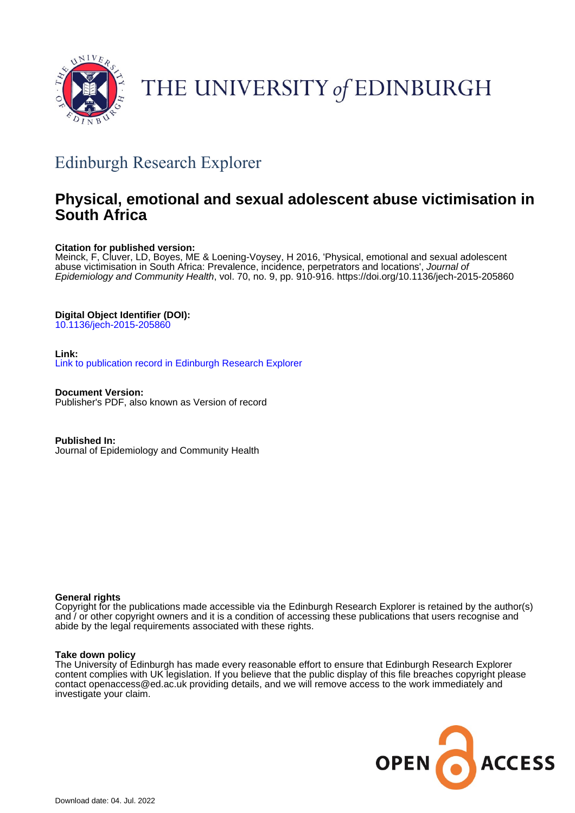

# THE UNIVERSITY of EDINBURGH

# Edinburgh Research Explorer

# **Physical, emotional and sexual adolescent abuse victimisation in South Africa**

### **Citation for published version:**

Meinck, F, Cluver, LD, Boyes, ME & Loening-Voysey, H 2016, 'Physical, emotional and sexual adolescent abuse victimisation in South Africa: Prevalence, incidence, perpetrators and locations', Journal of Epidemiology and Community Health, vol. 70, no. 9, pp. 910-916. <https://doi.org/10.1136/jech-2015-205860>

### **Digital Object Identifier (DOI):**

[10.1136/jech-2015-205860](https://doi.org/10.1136/jech-2015-205860)

#### **Link:**

[Link to publication record in Edinburgh Research Explorer](https://www.research.ed.ac.uk/en/publications/dfbddb1d-80e2-486b-adc9-fda884ca3d65)

**Document Version:** Publisher's PDF, also known as Version of record

**Published In:** Journal of Epidemiology and Community Health

#### **General rights**

Copyright for the publications made accessible via the Edinburgh Research Explorer is retained by the author(s) and / or other copyright owners and it is a condition of accessing these publications that users recognise and abide by the legal requirements associated with these rights.

#### **Take down policy**

The University of Edinburgh has made every reasonable effort to ensure that Edinburgh Research Explorer content complies with UK legislation. If you believe that the public display of this file breaches copyright please contact openaccess@ed.ac.uk providing details, and we will remove access to the work immediately and investigate your claim.

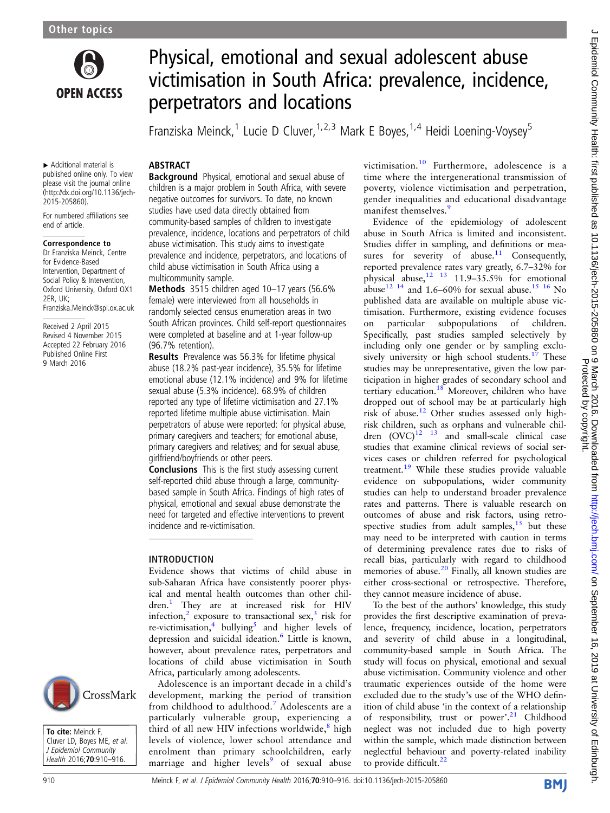

▸ Additional material is published online only. To view please visit the journal online [\(http://dx.doi.org/10.1136/jech-](http://dx.doi.org/10.1136/jech-2015-205860)[2015-205860\)](http://dx.doi.org/10.1136/jech-2015-205860).

For numbered affiliations see end of article.

#### Correspondence to

Dr Franziska Meinck, Centre for Evidence-Based Intervention, Department of Social Policy & Intervention, Oxford University, Oxford OX1 2ER, UK; Franziska.Meinck@spi.ox.ac.uk

Received 2 April 2015 Revised 4 November 2015 Accepted 22 February 2016 Published Online First 9 March 2016



To cite: Meinck F, Cluver LD, Boyes ME, et al. J Epidemiol Community Health 2016;70:910-916

# Physical, emotional and sexual adolescent abuse victimisation in South Africa: prevalence, incidence, perpetrators and locations

Franziska Meinck,<sup>1</sup> Lucie D Cluver,<sup>1,2,3</sup> Mark E Boyes,<sup>1,4</sup> Heidi Loening-Voysey<sup>5</sup>

#### ABSTRACT

Background Physical, emotional and sexual abuse of children is a major problem in South Africa, with severe negative outcomes for survivors. To date, no known studies have used data directly obtained from community-based samples of children to investigate prevalence, incidence, locations and perpetrators of child abuse victimisation. This study aims to investigate prevalence and incidence, perpetrators, and locations of child abuse victimisation in South Africa using a multicommunity sample.

Methods 3515 children aged 10–17 years (56.6% female) were interviewed from all households in randomly selected census enumeration areas in two South African provinces. Child self-report questionnaires were completed at baseline and at 1-year follow-up (96.7% retention).

Results Prevalence was 56.3% for lifetime physical abuse (18.2% past-year incidence), 35.5% for lifetime emotional abuse (12.1% incidence) and 9% for lifetime sexual abuse (5.3% incidence). 68.9% of children reported any type of lifetime victimisation and 27.1% reported lifetime multiple abuse victimisation. Main perpetrators of abuse were reported: for physical abuse, primary caregivers and teachers; for emotional abuse, primary caregivers and relatives; and for sexual abuse, girlfriend/boyfriends or other peers.

Conclusions This is the first study assessing current self-reported child abuse through a large, communitybased sample in South Africa. Findings of high rates of physical, emotional and sexual abuse demonstrate the need for targeted and effective interventions to prevent incidence and re-victimisation.

#### INTRODUCTION

Evidence shows that victims of child abuse in sub-Saharan Africa have consistently poorer physical and mental health outcomes than other children[.1](#page-6-0) They are at increased risk for HIV infection,<sup>2</sup> exposure to transactional sex,<sup>[3](#page-6-0)</sup> risk for re-victimisation,<sup>4</sup> bullying<sup>[5](#page-6-0)</sup> and higher levels of depression and suicidal ideation.<sup>6</sup> Little is known, however, about prevalence rates, perpetrators and locations of child abuse victimisation in South Africa, particularly among adolescents.

Adolescence is an important decade in a child's development, marking the period of transition from childhood to adulthood.[7](#page-6-0) Adolescents are a particularly vulnerable group, experiencing a third of all new HIV infections worldwide, $\frac{8}{3}$  $\frac{8}{3}$  $\frac{8}{3}$  high levels of violence, lower school attendance and enrolment than primary schoolchildren, early marriage and higher levels<sup>[9](#page-6-0)</sup> of sexual abuse victimisation.[10](#page-6-0) Furthermore, adolescence is a time where the intergenerational transmission of poverty, violence victimisation and perpetration, gender inequalities and educational disadvantage manifest themselves.<sup>[9](#page-6-0)</sup>

Evidence of the epidemiology of adolescent abuse in South Africa is limited and inconsistent. Studies differ in sampling, and definitions or mea-sures for severity of abuse.<sup>[11](#page-6-0)</sup> Consequently, reported prevalence rates vary greatly, 6.7–32% for physical abuse, $12 \t13 \t11.9-35.5\%$  for emotional abuse<sup>12 14</sup> and 1.6–60% for sexual abuse.<sup>15 16</sup> No published data are available on multiple abuse victimisation. Furthermore, existing evidence focuses on particular subpopulations of children. Specifically, past studies sampled selectively by including only one gender or by sampling exclu-sively university or high school students.<sup>[17](#page-6-0)</sup> These studies may be unrepresentative, given the low participation in higher grades of secondary school and tertiary education.<sup>18</sup> Moreover, children who have dropped out of school may be at particularly high risk of abuse. $12$  Other studies assessed only highrisk children, such as orphans and vulnerable children  $(OVC)^{12}$  <sup>13</sup> and small-scale clinical case studies that examine clinical reviews of social services cases or children referred for psychological treatment.<sup>[19](#page-6-0)</sup> While these studies provide valuable evidence on subpopulations, wider community studies can help to understand broader prevalence rates and patterns. There is valuable research on outcomes of abuse and risk factors, using retro-spective studies from adult samples,<sup>[15](#page-6-0)</sup> but these may need to be interpreted with caution in terms of determining prevalence rates due to risks of recall bias, particularly with regard to childhood memories of abuse.<sup>[20](#page-6-0)</sup> Finally, all known studies are either cross-sectional or retrospective. Therefore, they cannot measure incidence of abuse.

To the best of the authors' knowledge, this study provides the first descriptive examination of prevalence, frequency, incidence, location, perpetrators and severity of child abuse in a longitudinal, community-based sample in South Africa. The study will focus on physical, emotional and sexual abuse victimisation. Community violence and other traumatic experiences outside of the home were excluded due to the study's use of the WHO definition of child abuse 'in the context of a relationship of responsibility, trust or power'.<sup>[21](#page-6-0)</sup> Childhood neglect was not included due to high poverty within the sample, which made distinction between neglectful behaviour and poverty-related inability to provide difficult.<sup>[22](#page-6-0)</sup>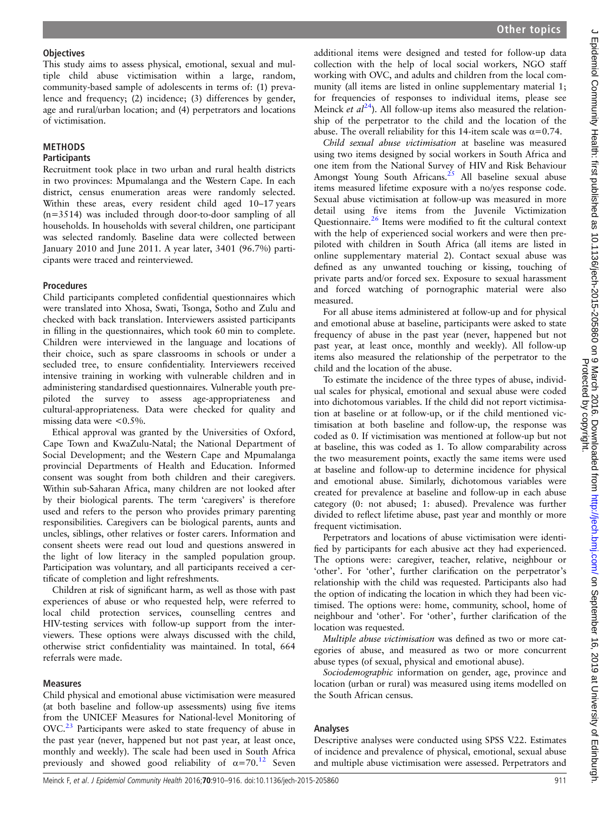This study aims to assess physical, emotional, sexual and multiple child abuse victimisation within a large, random, community-based sample of adolescents in terms of: (1) prevalence and frequency; (2) incidence; (3) differences by gender, age and rural/urban location; and (4) perpetrators and locations of victimisation.

#### METHODS **Participants**

Recruitment took place in two urban and rural health districts in two provinces: Mpumalanga and the Western Cape. In each district, census enumeration areas were randomly selected. Within these areas, every resident child aged 10–17 years (n=3514) was included through door-to-door sampling of all households. In households with several children, one participant was selected randomly. Baseline data were collected between January 2010 and June 2011. A year later, 3401 (96.7%) participants were traced and reinterviewed.

#### Procedures

Child participants completed confidential questionnaires which were translated into Xhosa, Swati, Tsonga, Sotho and Zulu and checked with back translation. Interviewers assisted participants in filling in the questionnaires, which took 60 min to complete. Children were interviewed in the language and locations of their choice, such as spare classrooms in schools or under a secluded tree, to ensure confidentiality. Interviewers received intensive training in working with vulnerable children and in administering standardised questionnaires. Vulnerable youth prepiloted the survey to assess age-appropriateness and cultural-appropriateness. Data were checked for quality and missing data were  $\leq 0.5\%$ .

Ethical approval was granted by the Universities of Oxford, Cape Town and KwaZulu-Natal; the National Department of Social Development; and the Western Cape and Mpumalanga provincial Departments of Health and Education. Informed consent was sought from both children and their caregivers. Within sub-Saharan Africa, many children are not looked after by their biological parents. The term 'caregivers' is therefore used and refers to the person who provides primary parenting responsibilities. Caregivers can be biological parents, aunts and uncles, siblings, other relatives or foster carers. Information and consent sheets were read out loud and questions answered in the light of low literacy in the sampled population group. Participation was voluntary, and all participants received a certificate of completion and light refreshments.

Children at risk of significant harm, as well as those with past experiences of abuse or who requested help, were referred to local child protection services, counselling centres and HIV-testing services with follow-up support from the interviewers. These options were always discussed with the child, otherwise strict confidentiality was maintained. In total, 664 referrals were made.

#### Measures

Child physical and emotional abuse victimisation were measured (at both baseline and follow-up assessments) using five items from the UNICEF Measures for National-level Monitoring of OVC.[23](#page-6-0) Participants were asked to state frequency of abuse in the past year (never, happened but not past year, at least once, monthly and weekly). The scale had been used in South Africa previously and showed good reliability of  $\alpha = 70^{12}$  $\alpha = 70^{12}$  $\alpha = 70^{12}$  Seven

additional items were designed and tested for follow-up data collection with the help of local social workers, NGO staff working with OVC, and adults and children from the local community (all items are listed in online supplementary material 1; for frequencies of responses to individual items, please see Meinck et  $al^{24}$  $al^{24}$  $al^{24}$ ). All follow-up items also measured the relationship of the perpetrator to the child and the location of the abuse. The overall reliability for this 14-item scale was  $\alpha = 0.74$ .

Child sexual abuse victimisation at baseline was measured using two items designed by social workers in South Africa and one item from the National Survey of HIV and Risk Behaviour Amongst Young South Africans.[25](#page-7-0) All baseline sexual abuse items measured lifetime exposure with a no/yes response code. Sexual abuse victimisation at follow-up was measured in more detail using five items from the Juvenile Victimization Questionnaire[.26](#page-7-0) Items were modified to fit the cultural context with the help of experienced social workers and were then prepiloted with children in South Africa (all items are listed in online supplementary material 2). Contact sexual abuse was defined as any unwanted touching or kissing, touching of private parts and/or forced sex. Exposure to sexual harassment and forced watching of pornographic material were also measured.

For all abuse items administered at follow-up and for physical and emotional abuse at baseline, participants were asked to state frequency of abuse in the past year (never, happened but not past year, at least once, monthly and weekly). All follow-up items also measured the relationship of the perpetrator to the child and the location of the abuse.

To estimate the incidence of the three types of abuse, individual scales for physical, emotional and sexual abuse were coded into dichotomous variables. If the child did not report victimisation at baseline or at follow-up, or if the child mentioned victimisation at both baseline and follow-up, the response was coded as 0. If victimisation was mentioned at follow-up but not at baseline, this was coded as 1. To allow comparability across the two measurement points, exactly the same items were used at baseline and follow-up to determine incidence for physical and emotional abuse. Similarly, dichotomous variables were created for prevalence at baseline and follow-up in each abuse category (0: not abused; 1: abused). Prevalence was further divided to reflect lifetime abuse, past year and monthly or more frequent victimisation.

Perpetrators and locations of abuse victimisation were identified by participants for each abusive act they had experienced. The options were: caregiver, teacher, relative, neighbour or 'other'. For 'other', further clarification on the perpetrator's relationship with the child was requested. Participants also had the option of indicating the location in which they had been victimised. The options were: home, community, school, home of neighbour and 'other'. For 'other', further clarification of the location was requested.

Multiple abuse victimisation was defined as two or more categories of abuse, and measured as two or more concurrent abuse types (of sexual, physical and emotional abuse).

Sociodemographic information on gender, age, province and location (urban or rural) was measured using items modelled on the South African census.

### Analyses

Descriptive analyses were conducted using SPSS V.22. Estimates of incidence and prevalence of physical, emotional, sexual abuse and multiple abuse victimisation were assessed. Perpetrators and Protected by copyright.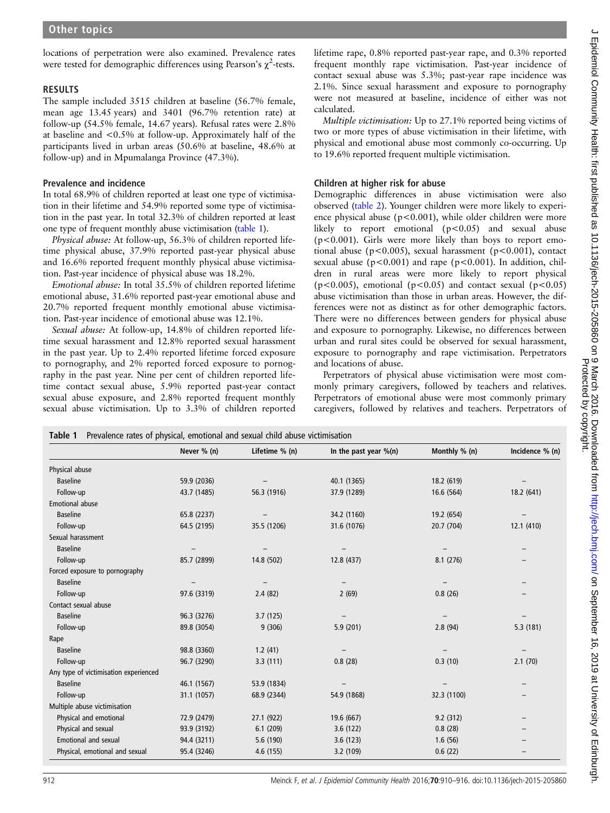locations of perpetration were also examined. Prevalence rates were tested for demographic differences using Pearson's  $\chi^2$ -tests.

#### RESULTS

The sample included 3515 children at baseline (56.7% female, mean age 13.45 years) and 3401 (96.7% retention rate) at follow-up (54.5% female, 14.67 years). Refusal rates were 2.8% at baseline and  $\langle 0.5\%$  at follow-up. Approximately half of the participants lived in urban areas (50.6% at baseline, 48.6% at follow-up) and in Mpumalanga Province (47.3%).

#### Prevalence and incidence

In total 68.9% of children reported at least one type of victimisation in their lifetime and 54.9% reported some type of victimisation in the past year. In total 32.3% of children reported at least one type of frequent monthly abuse victimisation (table 1).

Physical abuse: At follow-up, 56.3% of children reported lifetime physical abuse, 37.9% reported past-year physical abuse and 16.6% reported frequent monthly physical abuse victimisation. Past-year incidence of physical abuse was 18.2%.

Emotional abuse: In total 35.5% of children reported lifetime emotional abuse, 31.6% reported past-year emotional abuse and 20.7% reported frequent monthly emotional abuse victimisation. Past-year incidence of emotional abuse was 12.1%.

Sexual abuse: At follow-up, 14.8% of children reported lifetime sexual harassment and 12.8% reported sexual harassment in the past year. Up to 2.4% reported lifetime forced exposure to pornography, and 2% reported forced exposure to pornography in the past year. Nine per cent of children reported lifetime contact sexual abuse, 5.9% reported past-year contact sexual abuse exposure, and 2.8% reported frequent monthly sexual abuse victimisation. Up to 3.3% of children reported

lifetime rape, 0.8% reported past-year rape, and 0.3% reported frequent monthly rape victimisation. Past-year incidence of contact sexual abuse was 5.3%; past-year rape incidence was 2.1%. Since sexual harassment and exposure to pornography were not measured at baseline, incidence of either was not calculated.

Multiple victimisation: Up to 27.1% reported being victims of two or more types of abuse victimisation in their lifetime, with physical and emotional abuse most commonly co-occurring. Up to 19.6% reported frequent multiple victimisation.

#### Children at higher risk for abuse

Demographic differences in abuse victimisation were also observed [\(table 2\)](#page-4-0). Younger children were more likely to experience physical abuse (p<0.001), while older children were more likely to report emotional (p<0.05) and sexual abuse (p<0.001). Girls were more likely than boys to report emotional abuse (p<0.005), sexual harassment (p<0.001), contact sexual abuse ( $p < 0.001$ ) and rape ( $p < 0.001$ ). In addition, children in rural areas were more likely to report physical ( $p$ <0.005), emotional ( $p$ <0.05) and contact sexual ( $p$ <0.05) abuse victimisation than those in urban areas. However, the differences were not as distinct as for other demographic factors. There were no differences between genders for physical abuse and exposure to pornography. Likewise, no differences between urban and rural sites could be observed for sexual harassment, exposure to pornography and rape victimisation. Perpetrators and locations of abuse.

Perpetrators of physical abuse victimisation were most commonly primary caregivers, followed by teachers and relatives. Perpetrators of emotional abuse were most commonly primary caregivers, followed by relatives and teachers. Perpetrators of

|                                       | Never % (n) | Lifetime % (n) | In the past year $%$ (n) | Monthly $% (n)$ | Incidence % (n) |
|---------------------------------------|-------------|----------------|--------------------------|-----------------|-----------------|
| Physical abuse                        |             |                |                          |                 |                 |
| <b>Baseline</b>                       | 59.9 (2036) |                | 40.1 (1365)              | 18.2 (619)      |                 |
| Follow-up                             | 43.7 (1485) | 56.3 (1916)    | 37.9 (1289)              | 16.6 (564)      | 18.2 (641)      |
| <b>Emotional abuse</b>                |             |                |                          |                 |                 |
| <b>Baseline</b>                       | 65.8 (2237) |                | 34.2 (1160)              | 19.2 (654)      |                 |
| Follow-up                             | 64.5 (2195) | 35.5 (1206)    | 31.6 (1076)              | 20.7 (704)      | 12.1(410)       |
| Sexual harassment                     |             |                |                          |                 |                 |
| <b>Baseline</b>                       |             |                |                          |                 |                 |
| Follow-up                             | 85.7 (2899) | 14.8 (502)     | 12.8 (437)               | 8.1(276)        |                 |
| Forced exposure to pornography        |             |                |                          |                 |                 |
| <b>Baseline</b>                       |             |                |                          |                 |                 |
| Follow-up                             | 97.6 (3319) | 2.4(82)        | 2(69)                    | 0.8(26)         |                 |
| Contact sexual abuse                  |             |                |                          |                 |                 |
| <b>Baseline</b>                       | 96.3 (3276) | 3.7(125)       |                          |                 |                 |
| Follow-up                             | 89.8 (3054) | 9(306)         | 5.9(201)                 | 2.8(94)         | 5.3(181)        |
| Rape                                  |             |                |                          |                 |                 |
| <b>Baseline</b>                       | 98.8 (3360) | 1.2(41)        |                          |                 |                 |
| Follow-up                             | 96.7 (3290) | 3.3(111)       | 0.8(28)                  | 0.3(10)         | 2.1(70)         |
| Any type of victimisation experienced |             |                |                          |                 |                 |
| <b>Baseline</b>                       | 46.1 (1567) | 53.9 (1834)    |                          |                 |                 |
| Follow-up                             | 31.1 (1057) | 68.9 (2344)    | 54.9 (1868)              | 32.3 (1100)     |                 |
| Multiple abuse victimisation          |             |                |                          |                 |                 |
| Physical and emotional                | 72.9 (2479) | 27.1 (922)     | 19.6 (667)               | 9.2(312)        |                 |
| Physical and sexual                   | 93.9 (3192) | 6.1(209)       | 3.6(122)                 | 0.8(28)         |                 |
| Emotional and sexual                  | 94.4 (3211) | 5.6 (190)      | 3.6(123)                 | 1.6(56)         |                 |
| Physical, emotional and sexual        | 95.4 (3246) | 4.6(155)       | 3.2(109)                 | 0.6(22)         |                 |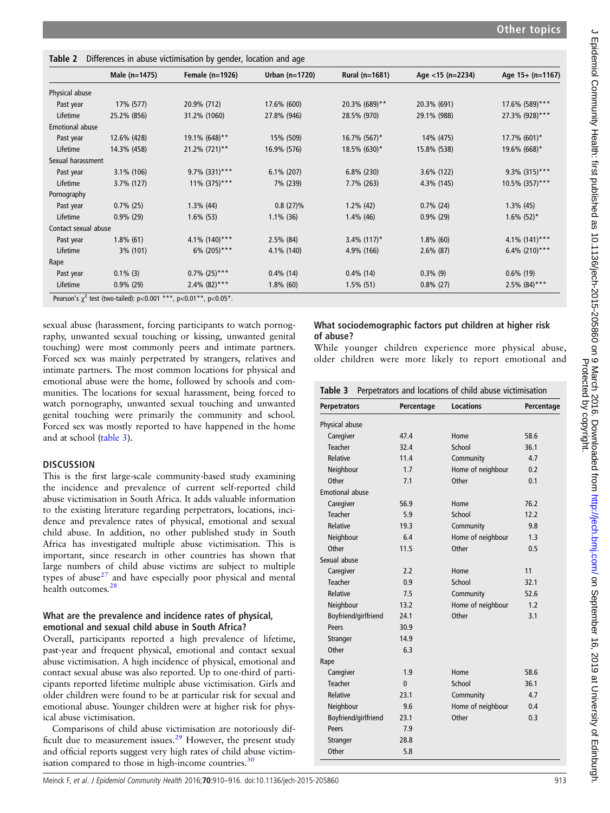<span id="page-4-0"></span>

|                      | Male (n=1475) | Female (n=1926)  | Urban $(n=1720)$ | Rural (n=1681)              | Age <15 (n=2234) | Age 15+ (n=1167)            |
|----------------------|---------------|------------------|------------------|-----------------------------|------------------|-----------------------------|
| Physical abuse       |               |                  |                  |                             |                  |                             |
| Past year            | 17% (577)     | 20.9% (712)      | 17.6% (600)      | 20.3% (689)**               | 20.3% (691)      | 17.6% (589)***              |
| Lifetime             | 25.2% (856)   | 31.2% (1060)     | 27.8% (946)      | 28.5% (970)                 | 29.1% (988)      | 27.3% (928)***              |
| Emotional abuse      |               |                  |                  |                             |                  |                             |
| Past year            | 12.6% (428)   | 19.1% (648)**    | 15% (509)        | $16.7\%$ (567) <sup>*</sup> | 14% (475)        | $17.7\%$ (601) <sup>*</sup> |
| Lifetime             | 14.3% (458)   | $21.2\%$ (721)** | 16.9% (576)      | 18.5% (630)*                | 15.8% (538)      | 19.6% (668)*                |
| Sexual harassment    |               |                  |                  |                             |                  |                             |
| Past year            | $3.1\%$ (106) | $9.7\%$ (331)*** | $6.1\%$ (207)    | $6.8\%$ (230)               | $3.6\%$ (122)    | $9.3\%$ (315)***            |
| Lifetime             | $3.7\%$ (127) | $11\%$ (375)***  | 7% (239)         | 7.7% (263)                  | 4.3% (145)       | 10.5% (357)***              |
| Pornography          |               |                  |                  |                             |                  |                             |
| Past year            | $0.7\%$ (25)  | $1.3\%$ (44)     | $0.8(27)\%$      | $1.2\%$ (42)                | $0.7\%$ (24)     | $1.3\%$ (45)                |
| Lifetime             | $0.9\%$ (29)  | $1.6\%$ (53)     | $1.1\%$ (36)     | $1.4\%$ (46)                | $0.9\%$ (29)     | $1.6\%$ (52) <sup>*</sup>   |
| Contact sexual abuse |               |                  |                  |                             |                  |                             |
| Past year            | $1.8\%$ (61)  | $4.1\%$ (140)*** | $2.5\%$ (84)     | $3.4\%$ (117) <sup>*</sup>  | $1.8\%$ (60)     | $4.1\%$ (141)***            |
| Lifetime             | 3% (101)      | $6\%$ (205)***   | 4.1% (140)       | 4.9% (166)                  | $2.6\%$ (87)     | $6.4\%$ (210)***            |
| Rape                 |               |                  |                  |                             |                  |                             |
| Past year            | $0.1\%$ (3)   | $0.7\%$ (25)***  | $0.4\%$ (14)     | $0.4\%$ (14)                | $0.3\%$ (9)      | $0.6\%$ (19)                |
| Lifetime             | $0.9\%$ (29)  | $2.4\%$ (82)***  | $1.8\%$ (60)     | $1.5\%$ (51)                | $0.8\%$ (27)     | $2.5\%$ (84)***             |

sexual abuse (harassment, forcing participants to watch pornography, unwanted sexual touching or kissing, unwanted genital touching) were most commonly peers and intimate partners. Forced sex was mainly perpetrated by strangers, relatives and intimate partners. The most common locations for physical and emotional abuse were the home, followed by schools and communities. The locations for sexual harassment, being forced to watch pornography, unwanted sexual touching and unwanted genital touching were primarily the community and school. Forced sex was mostly reported to have happened in the home and at school (table 3).

#### **DISCUSSION**

This is the first large-scale community-based study examining the incidence and prevalence of current self-reported child abuse victimisation in South Africa. It adds valuable information to the existing literature regarding perpetrators, locations, incidence and prevalence rates of physical, emotional and sexual child abuse. In addition, no other published study in South Africa has investigated multiple abuse victimisation. This is important, since research in other countries has shown that large numbers of child abuse victims are subject to multiple types of abuse $27$  and have especially poor physical and mental health outcomes.<sup>[28](#page-7-0)</sup>

#### What are the prevalence and incidence rates of physical, emotional and sexual child abuse in South Africa?

Overall, participants reported a high prevalence of lifetime, past-year and frequent physical, emotional and contact sexual abuse victimisation. A high incidence of physical, emotional and contact sexual abuse was also reported. Up to one-third of participants reported lifetime multiple abuse victimisation. Girls and older children were found to be at particular risk for sexual and emotional abuse. Younger children were at higher risk for physical abuse victimisation.

Comparisons of child abuse victimisation are notoriously difficult due to measurement issues. $29$  However, the present study and official reports suggest very high rates of child abuse victimisation compared to those in high-income countries. $3<sup>3</sup>$ 

#### What sociodemographic factors put children at higher risk of abuse?

While younger children experience more physical abuse, older children were more likely to report emotional and

| <b>Perpetrators</b>    | Percentage   | <b>Locations</b>  | Percentage |  |
|------------------------|--------------|-------------------|------------|--|
| Physical abuse         |              |                   |            |  |
| Caregiver              | 47.4         | Home              | 58.6       |  |
| Teacher                | 32.4         | School            | 36.1       |  |
| Relative               | 11.4         | Community         | 4.7        |  |
| Neighbour              | 1.7          | Home of neighbour | 0.2        |  |
| Other                  | 7.1          | Other             | 0.1        |  |
| <b>Emotional abuse</b> |              |                   |            |  |
| Caregiver              | 56.9         | Home              | 76.2       |  |
| Teacher                | 5.9          | School            | 12.2       |  |
| Relative               | 19.3         | Community         | 9.8        |  |
| Neighbour              | 6.4          | Home of neighbour | 1.3        |  |
| Other                  | 11.5         | Other             | 0.5        |  |
| Sexual abuse           |              |                   |            |  |
| Caregiver              | 2.2          | Home              | 11         |  |
| Teacher                | 0.9          | School            | 32.1       |  |
| Relative               | 7.5          | Community         | 52.6       |  |
| Neighbour              | 13.2         | Home of neighbour | 1.2        |  |
| Boyfriend/girlfriend   | 24.1         | Other             | 3.1        |  |
| Peers                  | 30.9         |                   |            |  |
| Stranger               | 14.9         |                   |            |  |
| Other                  | 6.3          |                   |            |  |
| Rape                   |              |                   |            |  |
| Caregiver              | 1.9          | Home              | 58.6       |  |
| Teacher                | $\mathbf{0}$ | School            | 36.1       |  |
| Relative               | 23.1         | Community         | 4.7        |  |
| Neighbour              | 9.6          | Home of neighbour | 0.4        |  |
| Boyfriend/girlfriend   | 23.1         | Other             | 0.3        |  |
| Peers                  | 7.9          |                   |            |  |
| Stranger               | 28.8         |                   |            |  |
| Other                  | 5.8          |                   |            |  |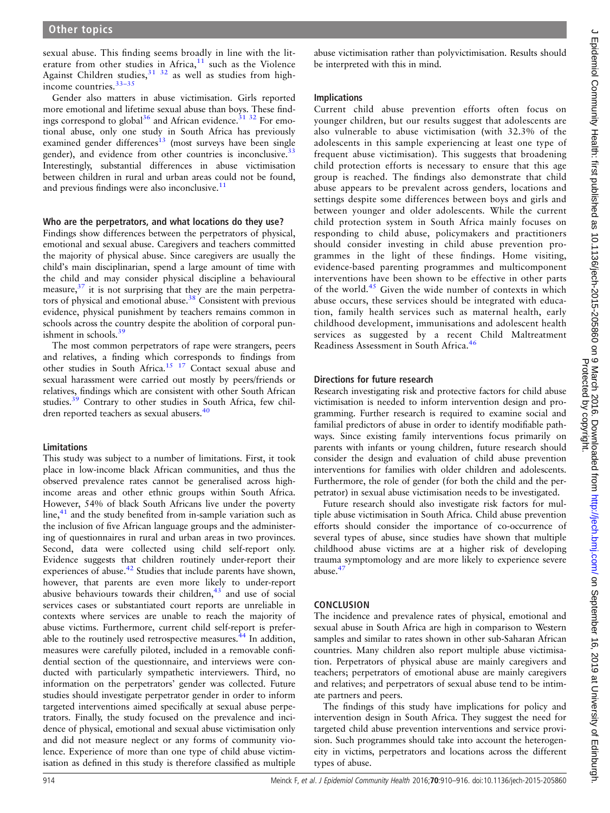sexual abuse. This finding seems broadly in line with the literature from other studies in Africa, $11$  such as the Violence Against Children studies,  $31^{32}$  as well as studies from highincome countries.33–[35](#page-7-0)

Gender also matters in abuse victimisation. Girls reported more emotional and lifetime sexual abuse than boys. These find-ings correspond to global<sup>36</sup> and African evidence.<sup>[31 32](#page-7-0)</sup> For emotional abuse, only one study in South Africa has previously examined gender differences $13 \text{ (most surveys have been single)}$  $13 \text{ (most surveys have been single)}$ gender), and evidence from other countries is inconclusive.<sup>33</sup> Interestingly, substantial differences in abuse victimisation between children in rural and urban areas could not be found, and previous findings were also inconclusive.<sup>[11](#page-6-0)</sup>

#### Who are the perpetrators, and what locations do they use?

Findings show differences between the perpetrators of physical, emotional and sexual abuse. Caregivers and teachers committed the majority of physical abuse. Since caregivers are usually the child's main disciplinarian, spend a large amount of time with the child and may consider physical discipline a behavioural measure, $37$  it is not surprising that they are the main perpetra-tors of physical and emotional abuse.<sup>[38](#page-7-0)</sup> Consistent with previous evidence, physical punishment by teachers remains common in schools across the country despite the abolition of corporal pun-ishment in schools.<sup>[39](#page-7-0)</sup>

The most common perpetrators of rape were strangers, peers and relatives, a finding which corresponds to findings from other studies in South Africa.[15 17](#page-6-0) Contact sexual abuse and sexual harassment were carried out mostly by peers/friends or relatives, findings which are consistent with other South African studies.<sup>[39](#page-7-0)</sup> Contrary to other studies in South Africa, few chil-dren reported teachers as sexual abusers.<sup>[40](#page-7-0)</sup>

#### Limitations

This study was subject to a number of limitations. First, it took place in low-income black African communities, and thus the observed prevalence rates cannot be generalised across highincome areas and other ethnic groups within South Africa. However, 54% of black South Africans live under the poverty line, $41$  and the study benefited from in-sample variation such as the inclusion of five African language groups and the administering of questionnaires in rural and urban areas in two provinces. Second, data were collected using child self-report only. Evidence suggests that children routinely under-report their experiences of abuse.<sup>42</sup> Studies that include parents have shown, however, that parents are even more likely to under-report abusive behaviours towards their children, $43$  and use of social services cases or substantiated court reports are unreliable in contexts where services are unable to reach the majority of abuse victims. Furthermore, current child self-report is prefer-able to the routinely used retrospective measures.<sup>[44](#page-7-0)</sup> In addition, measures were carefully piloted, included in a removable confidential section of the questionnaire, and interviews were conducted with particularly sympathetic interviewers. Third, no information on the perpetrators' gender was collected. Future studies should investigate perpetrator gender in order to inform targeted interventions aimed specifically at sexual abuse perpetrators. Finally, the study focused on the prevalence and incidence of physical, emotional and sexual abuse victimisation only and did not measure neglect or any forms of community violence. Experience of more than one type of child abuse victimisation as defined in this study is therefore classified as multiple

abuse victimisation rather than polyvictimisation. Results should be interpreted with this in mind.

#### Implications

Current child abuse prevention efforts often focus on younger children, but our results suggest that adolescents are also vulnerable to abuse victimisation (with 32.3% of the adolescents in this sample experiencing at least one type of frequent abuse victimisation). This suggests that broadening child protection efforts is necessary to ensure that this age group is reached. The findings also demonstrate that child abuse appears to be prevalent across genders, locations and settings despite some differences between boys and girls and between younger and older adolescents. While the current child protection system in South Africa mainly focuses on responding to child abuse, policymakers and practitioners should consider investing in child abuse prevention programmes in the light of these findings. Home visiting, evidence-based parenting programmes and multicomponent interventions have been shown to be effective in other parts of the world.[45](#page-7-0) Given the wide number of contexts in which abuse occurs, these services should be integrated with education, family health services such as maternal health, early childhood development, immunisations and adolescent health services as suggested by a recent Child Maltreatment Readiness Assessment in South Africa.[46](#page-7-0)

#### Directions for future research

Research investigating risk and protective factors for child abuse victimisation is needed to inform intervention design and programming. Further research is required to examine social and familial predictors of abuse in order to identify modifiable pathways. Since existing family interventions focus primarily on parents with infants or young children, future research should consider the design and evaluation of child abuse prevention interventions for families with older children and adolescents. Furthermore, the role of gender (for both the child and the perpetrator) in sexual abuse victimisation needs to be investigated.

Future research should also investigate risk factors for multiple abuse victimisation in South Africa. Child abuse prevention efforts should consider the importance of co-occurrence of several types of abuse, since studies have shown that multiple childhood abuse victims are at a higher risk of developing trauma symptomology and are more likely to experience severe abuse.<sup>47</sup>

#### **CONCLUSION**

The incidence and prevalence rates of physical, emotional and sexual abuse in South Africa are high in comparison to Western samples and similar to rates shown in other sub-Saharan African countries. Many children also report multiple abuse victimisation. Perpetrators of physical abuse are mainly caregivers and teachers; perpetrators of emotional abuse are mainly caregivers and relatives; and perpetrators of sexual abuse tend to be intimate partners and peers.

The findings of this study have implications for policy and intervention design in South Africa. They suggest the need for targeted child abuse prevention interventions and service provision. Such programmes should take into account the heterogeneity in victims, perpetrators and locations across the different types of abuse.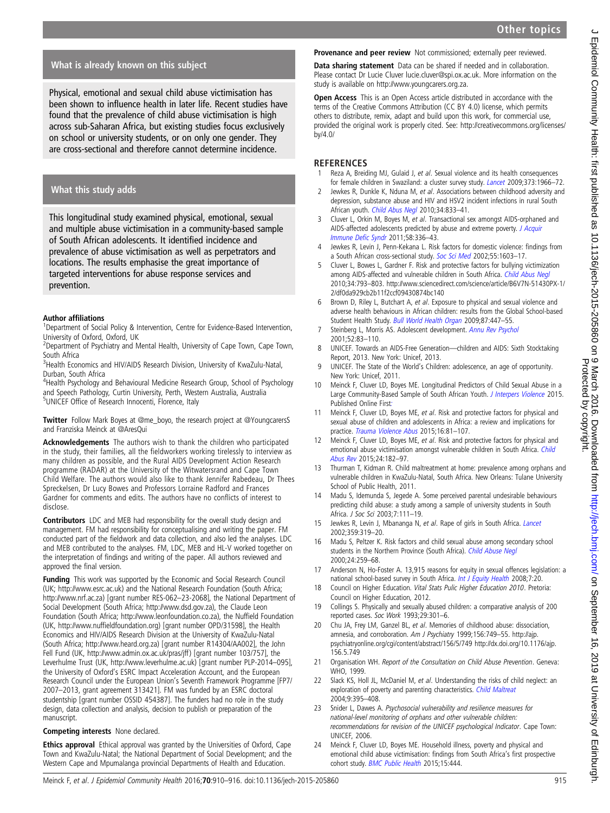# <span id="page-6-0"></span>What is already known on this subject

Physical, emotional and sexual child abuse victimisation has been shown to influence health in later life. Recent studies have found that the prevalence of child abuse victimisation is high across sub-Saharan Africa, but existing studies focus exclusively on school or university students, or on only one gender. They are cross-sectional and therefore cannot determine incidence.

# What this study adds

This longitudinal study examined physical, emotional, sexual and multiple abuse victimisation in a community-based sample of South African adolescents. It identified incidence and prevalence of abuse victimisation as well as perpetrators and locations. The results emphasise the great importance of targeted interventions for abuse response services and prevention.

#### Author affiliations <sup>1</sup>

<sup>1</sup>Department of Social Policy & Intervention, Centre for Evidence-Based Intervention, University of Oxford, Oxford, UK

<sup>2</sup> Department of Psychiatry and Mental Health, University of Cape Town, Cape Town, South Africa

<sup>3</sup> Health Economics and HIV/AIDS Research Division, University of KwaZulu-Natal, Durban, South Africa

<sup>4</sup>Health Psychology and Behavioural Medicine Research Group, School of Psychology and Speech Pathology, Curtin University, Perth, Western Australia, Australia <sup>5</sup>UNICEF Office of Research Innocenti, Florence, Italy

Twitter Follow Mark Boyes at [@me\\_boyo, the research project at @YoungcarersS](http://twitter.com/YoungcarersS) [and Franziska Meinck at @AresQui](http://twitter.com/AresQui)

Acknowledgements The authors wish to thank the children who participated in the study, their families, all the fieldworkers working tirelessly to interview as many children as possible, and the Rural AIDS Development Action Research programme (RADAR) at the University of the Witwatersrand and Cape Town Child Welfare. The authors would also like to thank Jennifer Rabedeau, Dr Thees Spreckelsen, Dr Lucy Bowes and Professors Lorraine Radford and Frances Gardner for comments and edits. The authors have no conflicts of interest to disclose.

Contributors LDC and MEB had responsibility for the overall study design and management. FM had responsibility for conceptualising and writing the paper. FM conducted part of the fieldwork and data collection, and also led the analyses. LDC and MEB contributed to the analyses. FM, LDC, MEB and HL-V worked together on the interpretation of findings and writing of the paper. All authors reviewed and approved the final version.

Funding This work was supported by the Economic and Social Research Council (UK; [http://www.esrc.ac.uk\)](http://www.esrc.ac.uk) and the National Research Foundation (South Africa; <http://www.nrf.ac.za>) [grant number RES-062–23-2068], the National Department of Social Development (South Africa;<http://www.dsd.gov.za>), the Claude Leon Foundation (South Africa;<http://www.leonfoundation.co.za>), the Nuffield Foundation (UK, [http://](http://www.nuffieldfoundation.org)www.nuffi[eldfoundation.org\)](http://www.nuffieldfoundation.org) [grant number OPD/31598], the Health Economics and HIV/AIDS Research Division at the University of KwaZulu-Natal (South Africa; [http://www.heard.org.za\)](http://www.heard.org.za) [grant number R14304/AA002], the John Fell Fund (UK,<http://www.admin.ox.ac.uk/pras/jff>) [grant number 103/757], the Leverhulme Trust (UK,<http://www.leverhulme.ac.uk>) [grant number PLP-2014–095], the University of Oxford's ESRC Impact Acceleration Account, and the European Research Council under the European Union's Seventh Framework Programme [FP7/ 2007–2013, grant agreement 313421]. FM was funded by an ESRC doctoral studentship [grant number OSSID 454387]. The funders had no role in the study design, data collection and analysis, decision to publish or preparation of the manuscript.

#### Competing interests None declared.

Ethics approval Ethical approval was granted by the Universities of Oxford, Cape Town and KwaZulu-Natal; the National Department of Social Development; and the Western Cape and Mpumalanga provincial Departments of Health and Education.

Provenance and peer review Not commissioned; externally peer reviewed.

Data sharing statement Data can be shared if needed and in collaboration. Please contact Dr Lucie Cluver lucie.cluver@spi.ox.ac.uk. More information on the study is available on<http://www.youngcarers.org.za>.

Open Access This is an Open Access article distributed in accordance with the terms of the Creative Commons Attribution (CC BY 4.0) license, which permits others to distribute, remix, adapt and build upon this work, for commercial use, provided the original work is properly cited. See: [http://creativecommons.org/licenses/](http://creativecommons.org/licenses/by/4.0/) [by/4.0/](http://creativecommons.org/licenses/by/4.0/)

### **REFERENCES**

- Reza A, Breiding MJ, Gulaid J, et al. Sexual violence and its health consequences for female children in Swaziland: a cluster survey study. [Lancet](http://dx.doi.org/10.1016/S0140-6736(09)60247-6) 2009;373:1966-72.
- 2 Jewkes R, Dunkle K, Nduna M, et al. Associations between childhood adversity and depression, substance abuse and HIV and HSV2 incident infections in rural South African youth. [Child Abus Negl](http://dx.doi.org/10.1016/j.chiabu.2010.05.002) 2010;34:833–41.
- 3 Cluver L, Orkin M, Boyes M, et al. Transactional sex amongst AIDS-orphaned and AIDS-affected adolescents predicted by abuse and extreme poverty. [J Acquir](http://dx.doi.org/10.1097/QAI.0b013e31822f0d82) [Immune De](http://dx.doi.org/10.1097/QAI.0b013e31822f0d82)fic Syndr 2011;58:336–43.
- Jewkes R, Levin J, Penn-Kekana L. Risk factors for domestic violence: findings from a South African cross-sectional study. [Soc Sci Med](http://dx.doi.org/10.1016/S0277-9536(01)00294-5) 2002;55:1603-17.
- 5 Cluver L, Bowes L, Gardner F. Risk and protective factors for bullying victimization among AIDS-affected and vulnerable children in South Africa. [Child Abus Negl](http://dx.doi.org/http://dx.doi.org/10.1016/j.chiabu.2010.04.002) 2010;34:793–803. [http://www.sciencedirect.com/science/article/B6V7N-51430PX-1/](http://www.sciencedirect.com/science/article/B6V7N-51430PX-1/2/df0da929cb2b11f2ccf09430874bc140) [2/df0da929cb2b11f2ccf09430874bc140](http://www.sciencedirect.com/science/article/B6V7N-51430PX-1/2/df0da929cb2b11f2ccf09430874bc140)
- 6 Brown D, Riley L, Butchart A, et al. Exposure to physical and sexual violence and adverse health behaviours in African children: results from the Global School-based Student Health Study. [Bull World Health Organ](http://dx.doi.org/10.2471/BLT.07.047423) 2009:87:447-55.
- 7 Steinberg L, Morris AS. Adolescent development. [Annu Rev Psychol](http://dx.doi.org/10.1146/annurev.psych.52.1.83)  $2001.52.83 - 110$
- 8 UNICEF. Towards an AIDS-Free Generation—children and AIDS: Sixth Stocktaking Report, 2013. New York: Unicef, 2013.
- 9 UNICEF. The State of the World's Children: adolescence, an age of opportunity. New York: Unicef, 2011.
- 10 Meinck F, Cluver LD, Boyes ME. Longitudinal Predictors of Child Sexual Abuse in a Large Community-Based Sample of South African Youth. *[J Interpers Violence](http://dx.doi.org/10.1177/0886260515596331)* 2015. Published Online First[:](http://dx.doi.org/10.1177/0886260515596331)
- 11 Meinck F, Cluver LD, Boyes ME, et al. Risk and protective factors for physical and sexual abuse of children and adolescents in Africa: a review and implications for practice. [Trauma Violence Abus](http://dx.doi.org/10.1177/1524838014523336) 2015;16:81–107.
- 12 Meinck F, Cluver LD, Boyes ME, et al. Risk and protective factors for physical and emotional abuse victimisation amongst vulnerable children in South Africa. [Child](http://dx.doi.org/10.1002/car.2283) [Abus Rev](http://dx.doi.org/10.1002/car.2283) 2015;24:182–97.
- 13 Thurman T, Kidman R. Child maltreatment at home: prevalence among orphans and vulnerable children in KwaZulu-Natal, South Africa. New Orleans: Tulane University School of Public Health, 2011.
- Madu S, Idemunda S, Jegede A. Some perceived parental undesirable behaviours predicting child abuse: a study among a sample of university students in South Africa. J Soc Sci 2003;7:111–19.
- 15 Jewkes R, Levin J, Mbananga N, et al. Rape of girls in South Africa. *[Lancet](http://dx.doi.org/10.1016/S0140-6736(02)07530-X)* 2002;359:319–20.
- 16 Madu S, Peltzer K. Risk factors and child sexual abuse among secondary school students in the Northern Province (South Africa). [Child Abuse Negl](http://dx.doi.org/10.1016/S0145-2134(99)00128-3) 2000;24:259–68.
- 17 Anderson N, Ho-Foster A. 13,915 reasons for equity in sexual offences legislation: a national school-based survey in South Africa. [Int J Equity Health](http://dx.doi.org/10.1186/1475-9276-7-20) 2008;7:20.
- 18 Council on Higher Education. Vital Stats Pulic Higher Education 2010. Pretoria: Council on Higher Education, 2012.
- 19 Collings S. Physically and sexually abused children: a comparative analysis of 200 reported cases. Soc Work 1993;29:301–6.
- 20 Chu JA, Frey LM, Ganzel BL, et al. Memories of childhood abuse: dissociation, amnesia, and corroboration. Am J Psychiatry 1999;156:749-55. [http://ajp.](http://ajp.psychiatryonline.org/cgi/content/abstract/156/5/749) [psychiatryonline.org/cgi/content/abstract/156/5/749](http://ajp.psychiatryonline.org/cgi/content/abstract/156/5/749) [http://dx.doi.org/10.1176/ajp.](http://dx.doi.org/10.1176/ajp.156.5.749) [156.5.749](http://dx.doi.org/10.1176/ajp.156.5.749)
- 21 Organisation WH. Report of the Consultation on Child Abuse Prevention. Geneva: WHO, 1999.
- 22 Slack KS, Holl JL, McDaniel M, et al. Understanding the risks of child neglect: an exploration of poverty and parenting characteristics. [Child Maltreat](http://dx.doi.org/10.1177/1077559504269193) 2004;9:395–408.
- 23 Snider L, Dawes A. Psychosocial vulnerability and resilience measures for national-level monitoring of orphans and other vulnerable children: recommendations for revision of the UNICEF psychological Indicator. Cape Town: UNICEF, 2006.
- 24 Meinck F, Cluver LD, Boyes ME. Household illness, poverty and physical and emotional child abuse victimisation: findings from South Africa's first prospective cohort study. **[BMC Public Health](http://dx.doi.org/10.1186/s12889-015-1792-4) 2015;15:444.**